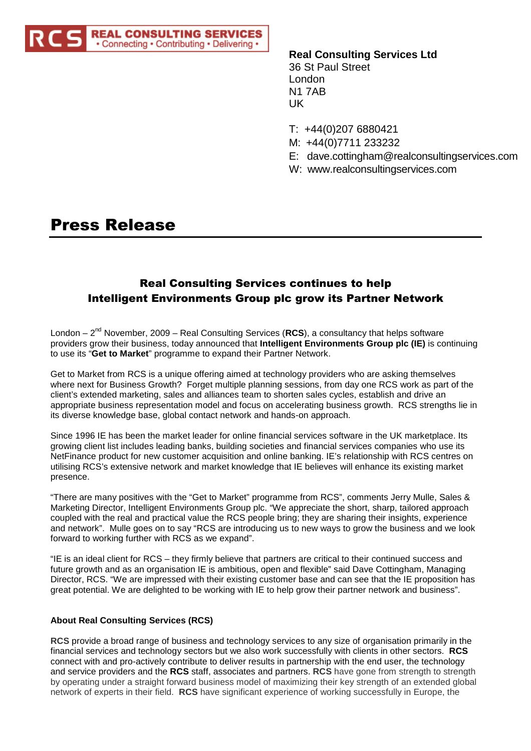

**Real Consulting Services Ltd** 36 St Paul Street London N1 7AB UK

- T: +44(0)207 6880421
- M: +44(0)7711 233232
- E: dave.cottingham@realconsultingservices.com
- W: www.realconsultingservices.com

# Press Release

# Real Consulting Services continues to help Intelligent Environments Group plc grow its Partner Network

London – 2<sup>nd</sup> November, 2009 – Real Consulting Services (RCS), a consultancy that helps software providers grow their business, today announced that **Intelligent Environments Group plc (IE)** is continuing to use its "**Get to Market**" programme to expand their Partner Network.

Get to Market from RCS is a unique offering aimed at technology providers who are asking themselves where next for Business Growth? Forget multiple planning sessions, from day one RCS work as part of the client's extended marketing, sales and alliances team to shorten sales cycles, establish and drive an appropriate business representation model and focus on accelerating business growth. RCS strengths lie in its diverse knowledge base, global contact network and hands-on approach.

Since 1996 IE has been the market leader for online financial services software in the UK marketplace. Its growing client list includes leading banks, building societies and financial services companies who use its NetFinance product for new customer acquisition and online banking. IE's relationship with RCS centres on utilising RCS's extensive network and market knowledge that IE believes will enhance its existing market presence.

"There are many positives with the "Get to Market" programme from RCS", comments Jerry Mulle, Sales & Marketing Director, Intelligent Environments Group plc. "We appreciate the short, sharp, tailored approach coupled with the real and practical value the RCS people bring; they are sharing their insights, experience and network". Mulle goes on to say "RCS are introducing us to new ways to grow the business and we look forward to working further with RCS as we expand".

"IE is an ideal client for RCS – they firmly believe that partners are critical to their continued success and future growth and as an organisation IE is ambitious, open and flexible" said Dave Cottingham, Managing Director, RCS. "We are impressed with their existing customer base and can see that the IE proposition has great potential. We are delighted to be working with IE to help grow their partner network and business".

# **About Real Consulting Services (RCS)**

**RCS** provide a broad range of business and technology services to any size of organisation primarily in the financial services and technology sectors but we also work successfully with clients in other sectors. **RCS** connect with and pro-actively contribute to deliver results in partnership with the end user, the technology and service providers and the **RCS** staff, associates and partners. **RCS** have gone from strength to strength by operating under a straight forward business model of maximizing their key strength of an extended global network of experts in their field. **RCS** have significant experience of working successfully in Europe, the